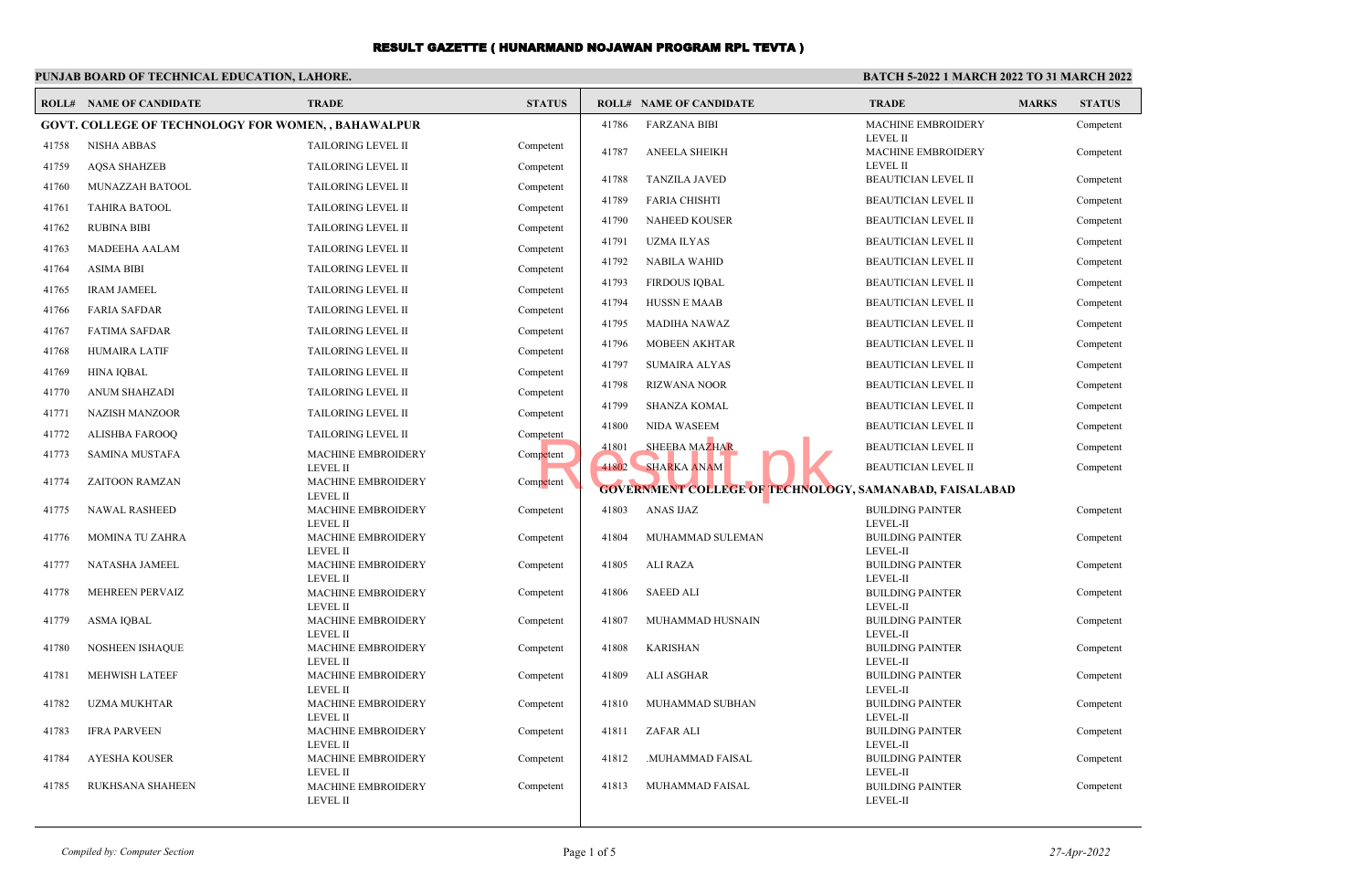## **PUNJAB BOARD OF TECHNICAL EDUCATION, LAHORE.**

### **BATCH 5-2022 1 MARCH 2022 TO 31 MARCH 2022**

|                                                            | <b>ROLL# NAME OF CANDIDATE</b> | <b>TRADE</b>                                 | <b>STATUS</b> |       | <b>ROLL# NAME OF CANDIDATE</b>                          | <b>TRADE</b>                          | <b>MARKS</b> | <b>STATUS</b> |
|------------------------------------------------------------|--------------------------------|----------------------------------------------|---------------|-------|---------------------------------------------------------|---------------------------------------|--------------|---------------|
| <b>GOVT. COLLEGE OF TECHNOLOGY FOR WOMEN, , BAHAWALPUR</b> |                                |                                              |               | 41786 | <b>FARZANA BIBI</b>                                     | MACHINE EMBROIDERY                    |              | Competent     |
| 41758                                                      | <b>NISHA ABBAS</b>             | TAILORING LEVEL II                           | Competent     | 41787 | <b>ANEELA SHEIKH</b>                                    | <b>LEVEL II</b><br>MACHINE EMBROIDERY |              | Competent     |
| 41759                                                      | <b>AQSA SHAHZEB</b>            | <b>TAILORING LEVEL II</b>                    | Competent     |       |                                                         | <b>LEVEL II</b>                       |              |               |
| 41760                                                      | MUNAZZAH BATOOL                | TAILORING LEVEL II                           | Competent     | 41788 | <b>TANZILA JAVED</b>                                    | BEAUTICIAN LEVEL II                   |              | Competent     |
| 41761                                                      | <b>TAHIRA BATOOL</b>           | TAILORING LEVEL II                           | Competent     | 41789 | <b>FARIA CHISHTI</b>                                    | <b>BEAUTICIAN LEVEL II</b>            |              | Competent     |
| 41762                                                      | <b>RUBINA BIBI</b>             | TAILORING LEVEL II                           | Competent     | 41790 | <b>NAHEED KOUSER</b>                                    | <b>BEAUTICIAN LEVEL II</b>            |              | Competent     |
| 41763                                                      | MADEEHA AALAM                  | <b>TAILORING LEVEL II</b>                    | Competent     | 41791 | <b>UZMA ILYAS</b>                                       | <b>BEAUTICIAN LEVEL II</b>            |              | Competent     |
| 41764                                                      | <b>ASIMA BIBI</b>              | TAILORING LEVEL II                           | Competent     | 41792 | <b>NABILA WAHID</b>                                     | <b>BEAUTICIAN LEVEL II</b>            |              | Competent     |
| 41765                                                      | <b>IRAM JAMEEL</b>             | <b>TAILORING LEVEL II</b>                    | Competent     | 41793 | <b>FIRDOUS IQBAL</b>                                    | <b>BEAUTICIAN LEVEL II</b>            |              | Competent     |
| 41766                                                      | <b>FARIA SAFDAR</b>            | TAILORING LEVEL II                           | Competent     | 41794 | <b>HUSSN E MAAB</b>                                     | <b>BEAUTICIAN LEVEL II</b>            |              | Competent     |
|                                                            |                                |                                              |               | 41795 | <b>MADIHA NAWAZ</b>                                     | <b>BEAUTICIAN LEVEL II</b>            |              | Competent     |
| 41767                                                      | <b>FATIMA SAFDAR</b>           | TAILORING LEVEL II                           | Competent     | 41796 | <b>MOBEEN AKHTAR</b>                                    | <b>BEAUTICIAN LEVEL II</b>            |              | Competent     |
| 41768                                                      | <b>HUMAIRA LATIF</b>           | TAILORING LEVEL II                           | Competent     | 41797 | <b>SUMAIRA ALYAS</b>                                    | <b>BEAUTICIAN LEVEL II</b>            |              | Competent     |
| 41769                                                      | <b>HINA IQBAL</b>              | TAILORING LEVEL II                           | Competent     | 41798 | <b>RIZWANA NOOR</b>                                     | <b>BEAUTICIAN LEVEL II</b>            |              | Competent     |
| 41770                                                      | <b>ANUM SHAHZADI</b>           | TAILORING LEVEL II                           | Competent     | 41799 | <b>SHANZA KOMAL</b>                                     | <b>BEAUTICIAN LEVEL II</b>            |              | Competent     |
| 41771                                                      | <b>NAZISH MANZOOR</b>          | TAILORING LEVEL II                           | Competent     | 41800 | <b>NIDA WASEEM</b>                                      | <b>BEAUTICIAN LEVEL II</b>            |              |               |
| 41772                                                      | <b>ALISHBA FAROOQ</b>          | TAILORING LEVEL II                           | Competent     |       |                                                         |                                       |              | Competent     |
| 41773                                                      | <b>SAMINA MUSTAFA</b>          | <b>MACHINE EMBROIDERY</b>                    | Competent     | 41801 | SHEEBA MAZHAR                                           | <b>BEAUTICIAN LEVEL II</b>            |              | Competent     |
| 41774                                                      | <b>ZAITOON RAMZAN</b>          | <b>LEVEL II</b><br><b>MACHINE EMBROIDERY</b> | Competent     | 41802 | <b>SHARKA ANAM</b>                                      | <b>BEAUTICIAN LEVEL II</b>            |              | Competent     |
|                                                            |                                | <b>LEVEL II</b>                              |               |       | GOVERNMENT COLLEGE OF TECHNOLOGY, SAMANABAD, FAISALABAD |                                       |              |               |
| 41775                                                      | <b>NAWAL RASHEED</b>           | <b>MACHINE EMBROIDERY</b>                    | Competent     | 41803 | <b>ANAS IJAZ</b>                                        | <b>BUILDING PAINTER</b>               |              | Competent     |
| 41776                                                      | MOMINA TU ZAHRA                | <b>LEVEL II</b><br>MACHINE EMBROIDERY        | Competent     | 41804 | MUHAMMAD SULEMAN                                        | LEVEL-II<br><b>BUILDING PAINTER</b>   |              | Competent     |
|                                                            |                                | <b>LEVEL II</b>                              |               |       |                                                         | LEVEL-II                              |              |               |
| 41777                                                      | NATASHA JAMEEL                 | MACHINE EMBROIDERY<br><b>LEVEL II</b>        | Competent     | 41805 | ALI RAZA                                                | <b>BUILDING PAINTER</b><br>LEVEL-II   |              | Competent     |
| 41778                                                      | MEHREEN PERVAIZ                | <b>MACHINE EMBROIDERY</b>                    | Competent     | 41806 | <b>SAEED ALI</b>                                        | <b>BUILDING PAINTER</b>               |              | Competent     |
|                                                            |                                | <b>LEVEL II</b>                              |               |       |                                                         | LEVEL-II                              |              |               |
| 41779                                                      | <b>ASMA IQBAL</b>              | MACHINE EMBROIDERY<br><b>LEVEL II</b>        | Competent     | 41807 | MUHAMMAD HUSNAIN                                        | <b>BUILDING PAINTER</b><br>LEVEL-II   |              | Competent     |
| 41780                                                      | <b>NOSHEEN ISHAQUE</b>         | MACHINE EMBROIDERY                           | Competent     | 41808 | <b>KARISHAN</b>                                         | <b>BUILDING PAINTER</b>               |              | Competent     |
|                                                            | MEHWISH LATEEF                 | <b>LEVEL II</b>                              |               |       | <b>ALI ASGHAR</b>                                       | LEVEL-II                              |              |               |
| 41781                                                      |                                | MACHINE EMBROIDERY<br><b>LEVEL II</b>        | Competent     | 41809 |                                                         | <b>BUILDING PAINTER</b><br>LEVEL-II   |              | Competent     |
| 41782                                                      | <b>UZMA MUKHTAR</b>            | MACHINE EMBROIDERY                           | Competent     | 41810 | MUHAMMAD SUBHAN                                         | <b>BUILDING PAINTER</b>               |              | Competent     |
| 41783                                                      | <b>IFRA PARVEEN</b>            | <b>LEVEL II</b><br>MACHINE EMBROIDERY        | Competent     | 41811 | ZAFAR ALI                                               | LEVEL-II<br><b>BUILDING PAINTER</b>   |              | Competent     |
|                                                            |                                | <b>LEVEL II</b>                              |               |       |                                                         | LEVEL-II                              |              |               |
| 41784                                                      | <b>AYESHA KOUSER</b>           | MACHINE EMBROIDERY                           | Competent     | 41812 | .MUHAMMAD FAISAL                                        | <b>BUILDING PAINTER</b>               |              | Competent     |
| 41785                                                      | RUKHSANA SHAHEEN               | <b>LEVEL II</b><br>MACHINE EMBROIDERY        | Competent     | 41813 | MUHAMMAD FAISAL                                         | LEVEL-II<br><b>BUILDING PAINTER</b>   |              | Competent     |
|                                                            |                                | <b>LEVEL II</b>                              |               |       |                                                         | LEVEL-II                              |              |               |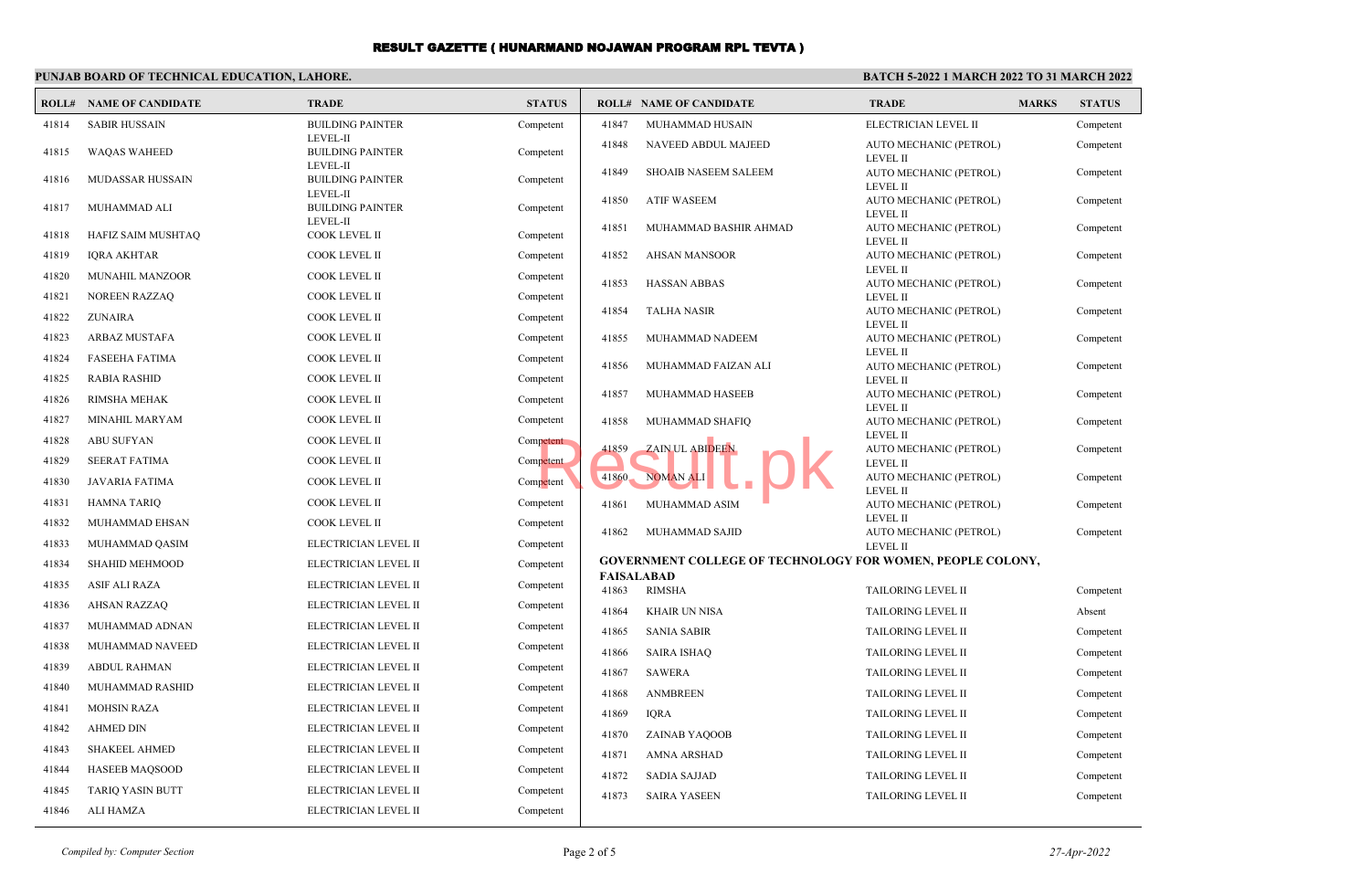## **PUNJAB BOARD OF TECHNICAL EDUCATION, LAHORE.**

### **BATCH 5-2022 1 MARCH 2022 TO 31 MARCH 2022**

| ROLL# | <b>NAME OF CANDIDATE</b> | <b>TRADE</b>                                           | <b>STATUS</b> |       | <b>ROLL# NAME OF CANDIDATE</b>                             | <b>MARKS</b><br><b>TRADE</b>              | <b>STATUS</b> |
|-------|--------------------------|--------------------------------------------------------|---------------|-------|------------------------------------------------------------|-------------------------------------------|---------------|
| 41814 | <b>SABIR HUSSAIN</b>     | <b>BUILDING PAINTER</b>                                | Competent     | 41847 | MUHAMMAD HUSAIN                                            | ELECTRICIAN LEVEL II                      | Competent     |
| 41815 | <b>WAQAS WAHEED</b>      | <b>LEVEL-II</b><br><b>BUILDING PAINTER</b>             | Competent     | 41848 | NAVEED ABDUL MAJEED                                        | AUTO MECHANIC (PETROL)<br><b>LEVEL II</b> | Competent     |
| 41816 | MUDASSAR HUSSAIN         | <b>LEVEL-II</b><br><b>BUILDING PAINTER</b><br>LEVEL-II | Competent     | 41849 | <b>SHOAIB NASEEM SALEEM</b>                                | AUTO MECHANIC (PETROL)<br><b>LEVEL II</b> | Competent     |
| 41817 | MUHAMMAD ALI             | <b>BUILDING PAINTER</b><br><b>LEVEL-II</b>             | Competent     | 41850 | <b>ATIF WASEEM</b>                                         | AUTO MECHANIC (PETROL)<br><b>LEVEL II</b> | Competent     |
| 41818 | HAFIZ SAIM MUSHTAQ       | COOK LEVEL II                                          | Competent     | 41851 | MUHAMMAD BASHIR AHMAD                                      | AUTO MECHANIC (PETROL)<br><b>LEVEL II</b> | Competent     |
| 41819 | <b>IQRA AKHTAR</b>       | COOK LEVEL II                                          | Competent     | 41852 | <b>AHSAN MANSOOR</b>                                       | AUTO MECHANIC (PETROL)                    | Competent     |
| 41820 | MUNAHIL MANZOOR          | <b>COOK LEVEL II</b>                                   | Competent     | 41853 | <b>HASSAN ABBAS</b>                                        | <b>LEVEL II</b><br>AUTO MECHANIC (PETROL) | Competent     |
| 41821 | <b>NOREEN RAZZAQ</b>     | <b>COOK LEVEL II</b>                                   | Competent     |       |                                                            | <b>LEVEL II</b>                           |               |
| 41822 | <b>ZUNAIRA</b>           | COOK LEVEL II                                          | Competent     | 41854 | <b>TALHA NASIR</b>                                         | AUTO MECHANIC (PETROL)<br><b>LEVEL II</b> | Competent     |
| 41823 | <b>ARBAZ MUSTAFA</b>     | COOK LEVEL II                                          | Competent     | 41855 | MUHAMMAD NADEEM                                            | AUTO MECHANIC (PETROL)                    | Competent     |
| 41824 | <b>FASEEHA FATIMA</b>    | COOK LEVEL II                                          | Competent     | 41856 | MUHAMMAD FAIZAN ALI                                        | <b>LEVEL II</b><br>AUTO MECHANIC (PETROL) | Competent     |
| 41825 | <b>RABIA RASHID</b>      | <b>COOK LEVEL II</b>                                   | Competent     |       |                                                            | <b>LEVEL II</b>                           |               |
| 41826 | RIMSHA MEHAK             | <b>COOK LEVEL II</b>                                   | Competent     | 41857 | MUHAMMAD HASEEB                                            | AUTO MECHANIC (PETROL)<br><b>LEVEL II</b> | Competent     |
| 41827 | MINAHIL MARYAM           | COOK LEVEL II                                          | Competent     | 41858 | MUHAMMAD SHAFIQ                                            | AUTO MECHANIC (PETROL)                    | Competent     |
| 41828 | <b>ABU SUFYAN</b>        | <b>COOK LEVEL II</b>                                   | Competent     | 41859 | <b>ZAIN UL ABIDEEN</b>                                     | <b>LEVEL II</b><br>AUTO MECHANIC (PETROL) | Competent     |
| 41829 | <b>SEERAT FATIMA</b>     | <b>COOK LEVEL II</b>                                   | Competent     |       |                                                            | <b>LEVEL II</b>                           |               |
| 41830 | <b>JAVARIA FATIMA</b>    | COOK LEVEL II                                          | Competent     | 41860 | <b>NOMAN ALI</b>                                           | AUTO MECHANIC (PETROL)<br><b>LEVEL II</b> | Competent     |
| 41831 | <b>HAMNA TARIQ</b>       | COOK LEVEL II                                          | Competent     | 41861 | MUHAMMAD ASIM                                              | AUTO MECHANIC (PETROL)                    | Competent     |
| 41832 | MUHAMMAD EHSAN           | COOK LEVEL II                                          | Competent     |       |                                                            | <b>LEVEL II</b>                           |               |
| 41833 | MUHAMMAD QASIM           | ELECTRICIAN LEVEL II                                   | Competent     | 41862 | MUHAMMAD SAJID                                             | AUTO MECHANIC (PETROL)<br><b>LEVEL II</b> | Competent     |
| 41834 | SHAHID MEHMOOD           | ELECTRICIAN LEVEL II                                   | Competent     |       | GOVERNMENT COLLEGE OF TECHNOLOGY FOR WOMEN, PEOPLE COLONY, |                                           |               |
| 41835 | <b>ASIF ALI RAZA</b>     | ELECTRICIAN LEVEL II                                   | Competent     | 41863 | <b>FAISALABAD</b><br><b>RIMSHA</b>                         | TAILORING LEVEL II                        | Competent     |
| 41836 | <b>AHSAN RAZZAQ</b>      | ELECTRICIAN LEVEL II                                   | Competent     | 41864 | <b>KHAIR UN NISA</b>                                       | TAILORING LEVEL II                        | Absent        |
| 41837 | MUHAMMAD ADNAN           | ELECTRICIAN LEVEL II                                   | Competent     | 41865 | <b>SANIA SABIR</b>                                         | TAILORING LEVEL II                        | Competent     |
| 41838 | MUHAMMAD NAVEED          | ELECTRICIAN LEVEL II                                   | Competent     | 41866 | <b>SAIRA ISHAQ</b>                                         | TAILORING LEVEL II                        | Competent     |
| 41839 | <b>ABDUL RAHMAN</b>      | ELECTRICIAN LEVEL II                                   | Competent     | 41867 | <b>SAWERA</b>                                              | TAILORING LEVEL II                        | Competent     |
| 41840 | MUHAMMAD RASHID          | ELECTRICIAN LEVEL II                                   | Competent     | 41868 | <b>ANMBREEN</b>                                            | TAILORING LEVEL II                        | Competent     |
| 41841 | <b>MOHSIN RAZA</b>       | ELECTRICIAN LEVEL II                                   | Competent     | 41869 | <b>IQRA</b>                                                | TAILORING LEVEL II                        | Competent     |
| 41842 | <b>AHMED DIN</b>         | ELECTRICIAN LEVEL II                                   | Competent     | 41870 | ZAINAB YAQOOB                                              | <b>TAILORING LEVEL II</b>                 | Competent     |
| 41843 | <b>SHAKEEL AHMED</b>     | ELECTRICIAN LEVEL II                                   | Competent     | 41871 | <b>AMNA ARSHAD</b>                                         | <b>TAILORING LEVEL II</b>                 | Competent     |
| 41844 | <b>HASEEB MAQSOOD</b>    | ELECTRICIAN LEVEL II                                   | Competent     | 41872 | <b>SADIA SAJJAD</b>                                        | <b>TAILORING LEVEL II</b>                 | Competent     |
| 41845 | <b>TARIQ YASIN BUTT</b>  | ELECTRICIAN LEVEL II                                   | Competent     | 41873 | <b>SAIRA YASEEN</b>                                        | <b>TAILORING LEVEL II</b>                 | Competent     |
| 41846 | <b>ALI HAMZA</b>         | ELECTRICIAN LEVEL II                                   | Competent     |       |                                                            |                                           |               |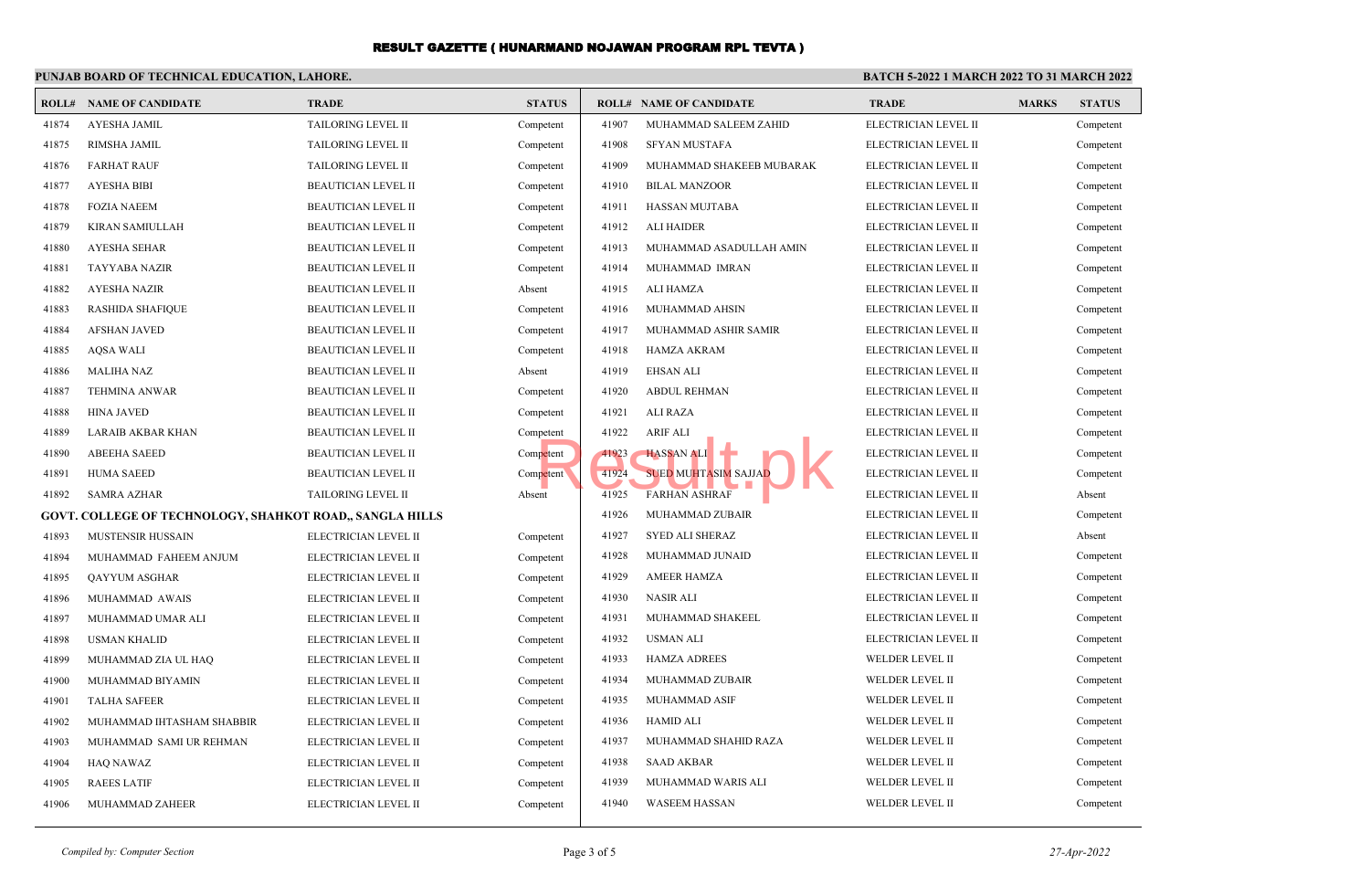#### **PUNJAB BOARD OF TECHNICAL EDUCATION, LAHORE. BATCH 5-2022 1 MARCH 2022 TO 31 MARCH 2022 ROLL# NAME OF CANDIDATE TRADE STATUS ROLL# NAME OF CANDIDATE TRADE MARKS STATUS** 41874 AYESHA JAMIL TAILORING LEVEL II Competent 41875 RIMSHA JAMIL TAILORING LEVEL II Competent 41876 FARHAT RAUF TAILORING LEVEL II Competent 41877 AYESHA BIBI BEAUTICIAN LEVEL II Competent 41878 FOZIA NAEEM BEAUTICIAN LEVEL II Competent 41879 KIRAN SAMIULLAH BEAUTICIAN LEVEL II Competent 41880 AYESHA SEHAR BEAUTICIAN LEVEL II Competent 41881 TAYYABA NAZIR BEAUTICIAN LEVEL II Competent 41882 AYESHA NAZIR BEAUTICIAN LEVEL II Absent 41883 RASHIDA SHAFIQUE BEAUTICIAN LEVEL II Competent 41884 AFSHAN JAVED BEAUTICIAN LEVEL II Competent 41885 AQSA WALI BEAUTICIAN LEVEL II Competent 41886 MALIHA NAZ BEAUTICIAN LEVEL II Absent 41887 TEHMINA ANWAR BEAUTICIAN LEVEL II Competent 41888 HINA JAVED BEAUTICIAN LEVEL II Competent 41889 LARAIB AKBAR KHAN BEAUTICIAN LEVEL II Competent 41890 ABEEHA SAEED BEAUTICIAN LEVEL II Competent 41891 HUMA SAEED BEAUTICIAN LEVEL II Competent 41892 SAMRA AZHAR TAILORING LEVEL II Absent **GOVT. COLLEGE OF TECHNOLOGY, SHAHKOT ROAD,, SANGLA HILLS** 41893 MUSTENSIR HUSSAIN ELECTRICIAN LEVEL II Competent 41894 MUHAMMAD FAHEEM ANJUM ELECTRICIAN LEVEL II Competent 41895 QAYYUM ASGHAR ELECTRICIAN LEVEL II Competent 41896 MUHAMMAD AWAIS ELECTRICIAN LEVEL II Competent 41897 MUHAMMAD UMAR ALI ELECTRICIAN LEVEL II Competent 41898 USMAN KHALID ELECTRICIAN LEVEL II Competent 41899 MUHAMMAD ZIA UL HAQ ELECTRICIAN LEVEL II Competent 41900 MUHAMMAD BIYAMIN ELECTRICIAN LEVEL II Competent 41901 TALHA SAFEER ELECTRICIAN LEVEL II Competent 41902 MUHAMMAD IHTASHAM SHABBIR ELECTRICIAN LEVEL II Competent 41903 MUHAMMAD SAMI UR REHMAN ELECTRICIAN LEVEL II Competent 41904 HAQ NAWAZ ELECTRICIAN LEVEL II Competent 41905 RAEES LATIF ELECTRICIAN LEVEL II Competent 41906 MUHAMMAD ZAHEER ELECTRICIAN LEVEL II Competent 41907 MUHAMMAD SALEEM ZAHID ELECTRICIAN LEVEL II Competent 41908 SFYAN MUSTAFA ELECTRICIAN LEVEL II Competent 41909 MUHAMMAD SHAKEEB MUBARAK ELECTRICIAN LEVEL II Competent 41910 BILAL MANZOOR ELECTRICIAN LEVEL II Competent 41911 HASSAN MUJTABA ELECTRICIAN LEVEL II Competent 41912 ALI HAIDER ELECTRICIAN LEVEL II Competent 41913 MUHAMMAD ASADULLAH AMIN ELECTRICIAN LEVEL II Competent 41914 MUHAMMAD IMRAN ELECTRICIAN LEVEL II Competent 41915 ALI HAMZA ELECTRICIAN LEVEL II Competent 41916 MUHAMMAD AHSIN ELECTRICIAN LEVEL II Competent 41917 MUHAMMAD ASHIR SAMIR ELECTRICIAN LEVEL II Competent 41918 HAMZA AKRAM ELECTRICIAN LEVEL II Competent 41919 EHSAN ALI ELECTRICIAN LEVEL II Competent 41920 ABDUL REHMAN ELECTRICIAN LEVEL II Competent 41921 ALI RAZA ELECTRICIAN LEVEL II Competent 41922 ARIF ALI ELECTRICIAN LEVEL II Competent 41923 HASSAN ALI ELECTRICIAN LEVEL II Competent 41924 SUED MUHTASIM SAJJAD ELECTRICIAN LEVEL II Competent 41925 FARHAN ASHRAF ELECTRICIAN LEVEL II Absent 41926 MUHAMMAD ZUBAIR ELECTRICIAN LEVEL II Competent 41927 SYED ALI SHERAZ ELECTRICIAN LEVEL II Absent 41928 MUHAMMAD JUNAID ELECTRICIAN LEVEL II Competent 41929 AMEER HAMZA ELECTRICIAN LEVEL II Competent 41930 NASIR ALI ELECTRICIAN LEVEL II Competent 41931 MUHAMMAD SHAKEEL ELECTRICIAN LEVEL II Competent 41932 USMAN ALI ELECTRICIAN LEVEL II Competent 41933 HAMZA ADREES WELDER LEVEL II Competent 41934 MUHAMMAD ZUBAIR WELDER LEVEL II Competent 41935 MUHAMMAD ASIF WELDER LEVEL II Competent 41936 HAMID ALI WELDER LEVEL II Competent 41937 MUHAMMAD SHAHID RAZA WELDER LEVEL II Competent 41938 SAAD AKBAR WELDER LEVEL II Competent 41939 MUHAMMAD WARIS ALI WELDER LEVEL II Competent 41940 WASEEM HASSAN WELDER LEVEL II Competent SUED MUHTASIM SAJJAD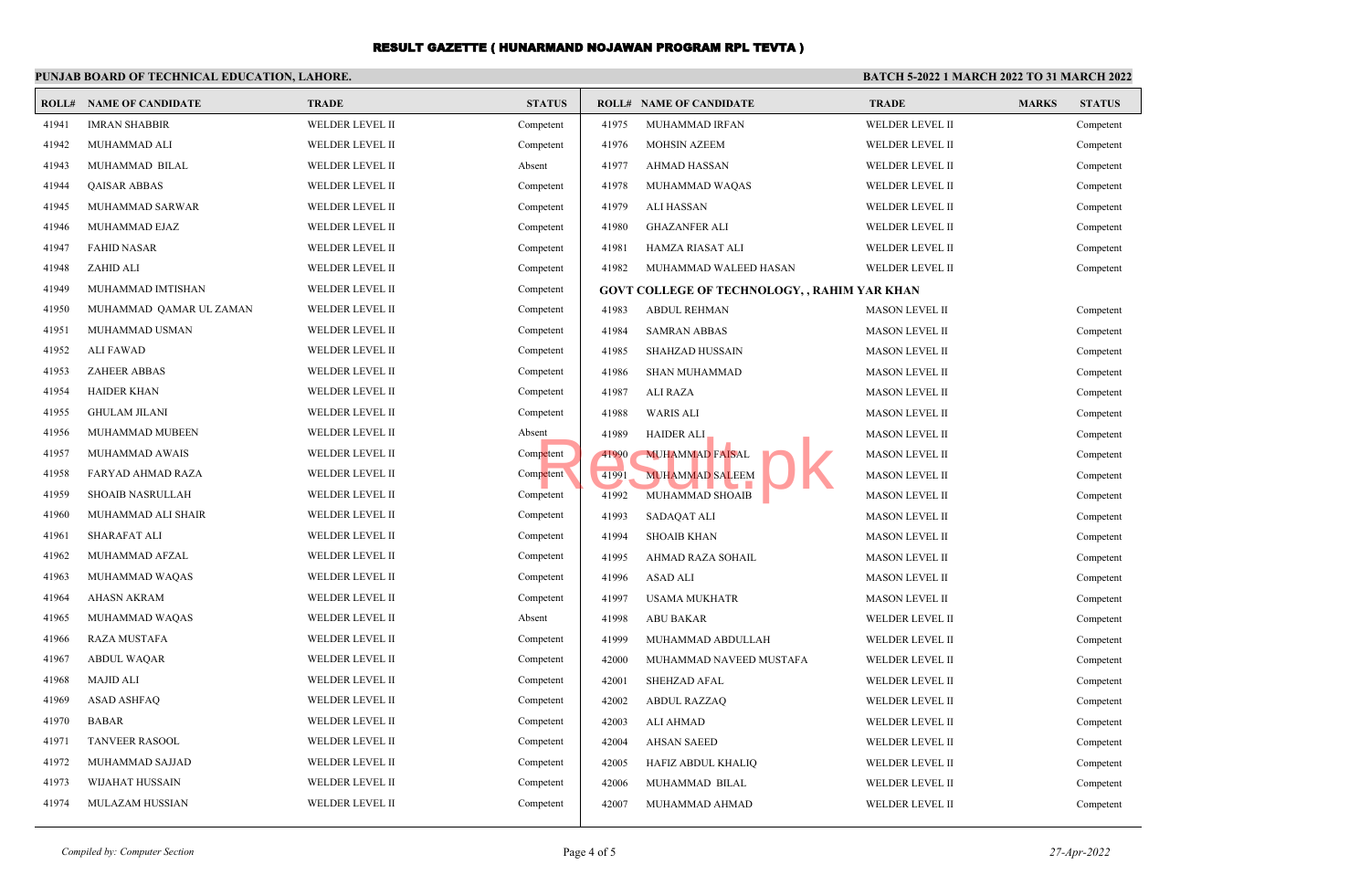#### **PUNJAB BOARD OF TECHNICAL EDUCATION, LAHORE. BATCH 5-2022 1 MARCH 2022 TO 31 MARCH 2022 ROLL# NAME OF CANDIDATE TRADE STATUS ROLL# NAME OF CANDIDATE TRADE MARKS STATUS** 41941 IMRAN SHABBIR WELDER LEVEL II Competent 41942 MUHAMMAD ALI WELDER LEVEL II Competent 41943 MUHAMMAD BILAL WELDER LEVEL II Absent 41944 QAISAR ABBAS WELDER LEVEL II Competent 41945 MUHAMMAD SARWAR WELDER LEVEL II Competent 41946 MUHAMMAD EJAZ WELDER LEVEL II Competent 41947 FAHID NASAR WELDER LEVEL II Competent 41948 ZAHID ALI WELDER LEVEL II Competent 41949 MUHAMMAD IMTISHAN WELDER LEVEL II Competent 41950 MUHAMMAD QAMAR UL ZAMAN WELDER LEVEL II Competent 41951 MUHAMMAD USMAN WELDER LEVEL II Competent 41952 ALI FAWAD WELDER LEVEL II Competent 41953 ZAHEER ABBAS WELDER LEVEL II Competent 41954 HAIDER KHAN WELDER LEVEL II Competent 41955 GHULAM JILANI WELDER LEVEL II Competent 41956 MUHAMMAD MUBEEN WELDER LEVEL II Absent 41957 MUHAMMAD AWAIS WELDER LEVEL II Competent 41958 FARYAD AHMAD RAZA WELDER LEVEL II Competent 41959 SHOAIB NASRULLAH WELDER LEVEL II Competent 41960 MUHAMMAD ALI SHAIR WELDER LEVEL II Competent 41961 SHARAFAT ALI WELDER LEVEL II Competent 41962 MUHAMMAD AFZAL WELDER LEVEL II Competent 41963 MUHAMMAD WAQAS WELDER LEVEL II Competent 41964 AHASN AKRAM WELDER LEVEL II Competent 41965 MUHAMMAD WAQAS WELDER LEVEL II Absent 41966 RAZA MUSTAFA WELDER LEVEL II Competent 41967 ABDUL WAQAR WELDER LEVEL II Competent 41968 MAJID ALI WELDER LEVEL II Competent 41969 ASAD ASHFAQ WELDER LEVEL II Competent 41970 BABAR WELDER LEVEL II Competent 41971 TANVEER RASOOL WELDER LEVEL II Competent 41972 MUHAMMAD SAJJAD WELDER LEVEL II Competent 41973 WIJAHAT HUSSAIN WELDER LEVEL II Competent 41974 MULAZAM HUSSIAN WELDER LEVEL II Competent 41975 MUHAMMAD IRFAN WELDER LEVEL II Competent 41976 MOHSIN AZEEM WELDER LEVEL II Competent 41977 AHMAD HASSAN WELDER LEVEL II Competent 41978 MUHAMMAD WAQAS WELDER LEVEL II Competent 41979 ALI HASSAN WELDER LEVEL II Competent 41980 GHAZANFER ALI WELDER LEVEL II Competent 41981 HAMZA RIASAT ALI WELDER LEVEL II Competent 41982 MUHAMMAD WALEED HASAN WELDER LEVEL II Competent **GOVT COLLEGE OF TECHNOLOGY, , RAHIM YAR KHAN** 41983 ABDUL REHMAN MASON LEVEL II Competent 41984 SAMRAN ABBAS MASON LEVEL II Competent 41985 SHAHZAD HUSSAIN MASON LEVEL II Competent 41986 SHAN MUHAMMAD MASON LEVEL II Competent 41987 ALI RAZA MASON LEVEL II Competent 41988 WARIS ALI MASON LEVEL II Competent 41989 HAIDER ALI MASON LEVEL II Competent 41990 MUHAMMAD FAISAL MASON LEVEL II Competent 41991 MUHAMMAD SALEEM MASON LEVEL II Competent 41992 MUHAMMAD SHOAIB MASON LEVEL II Competent 41993 SADAQAT ALI MASON LEVEL II Competent 41994 SHOAIB KHAN MASON LEVEL II Competent 41995 AHMAD RAZA SOHAIL MASON LEVEL II Competent 41996 ASAD ALI MASON LEVEL II Competent 41997 USAMA MUKHATR MASON LEVEL II Competent 41998 ABU BAKAR WELDER LEVEL II Competent 41999 MUHAMMAD ABDULLAH WELDER LEVEL II Competent 42000 MUHAMMAD NAVEED MUSTAFA WELDER LEVEL II Competent 42001 SHEHZAD AFAL WELDER LEVEL II Competent 42002 ABDUL RAZZAQ WELDER LEVEL II Competent 42003 ALI AHMAD WELDER LEVEL II Competent 42004 AHSAN SAEED WELDER LEVEL II Competent 42005 HAFIZ ABDUL KHALIQ WELDER LEVEL II Competent 42006 MUHAMMAD BILAL WELDER LEVEL II Competent 42007 MUHAMMAD AHMAD WELDER LEVEL II Competent FRAIDER ALI<br>
Petent (1991 MUHAMMAD FAISAL<br>
Petent (1992 MUHAMMAD SALEEM 1992 MUHAMMAD SHOAIB